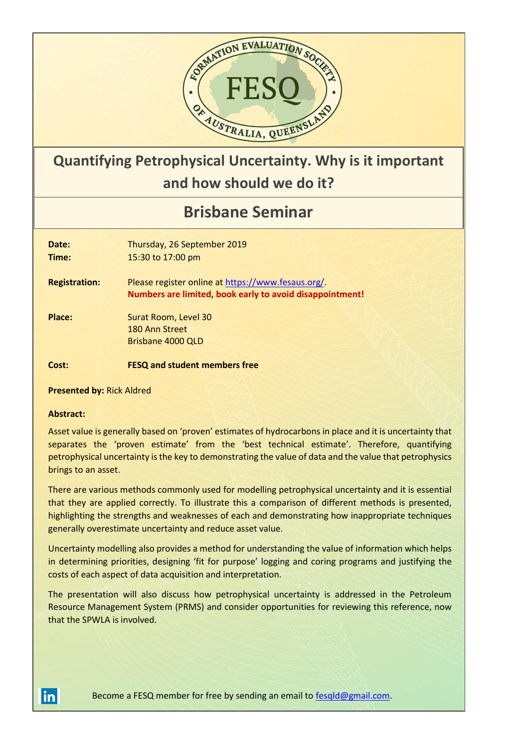

## **Quantifying Petrophysical Uncertainty. Why is it important and how should we do it?**

## **Brisbane Seminar**

| Date:<br>Time:       | Thursday, 26 September 2019<br>15:30 to 17:00 pm                                                              |
|----------------------|---------------------------------------------------------------------------------------------------------------|
| <b>Registration:</b> | Please register online at https://www.fesaus.org/<br>Numbers are limited, book early to avoid disappointment! |
| Place:               | Surat Room, Level 30<br>180 Ann Street<br>Brisbane 4000 QLD                                                   |
| Cost:                | <b>FESQ and student members free</b>                                                                          |

**Presented by:** Rick Aldred

## **Abstract:**

Asset value is generally based on 'proven' estimates of hydrocarbons in place and it is uncertainty that separates the 'proven estimate' from the 'best technical estimate'. Therefore, quantifying petrophysical uncertainty is the key to demonstrating the value of data and the value that petrophysics brings to an asset.

There are various methods commonly used for modelling petrophysical uncertainty and it is essential that they are applied correctly. To illustrate this a comparison of different methods is presented, highlighting the strengths and weaknesses of each and demonstrating how inappropriate techniques generally overestimate uncertainty and reduce asset value.

Uncertainty modelling also provides a method for understanding the value of information which helps in determining priorities, designing 'fit for purpose' logging and coring programs and justifying the costs of each aspect of data acquisition and interpretation.

The presentation will also discuss how petrophysical uncertainty is addressed in the Petroleum Resource Management System (PRMS) and consider opportunities for reviewing this reference, now that the SPWLA is involved.



Become a FESQ member for free by sending an email to [fesqld@gmail.com.](mailto:fesqld@gmail.com)